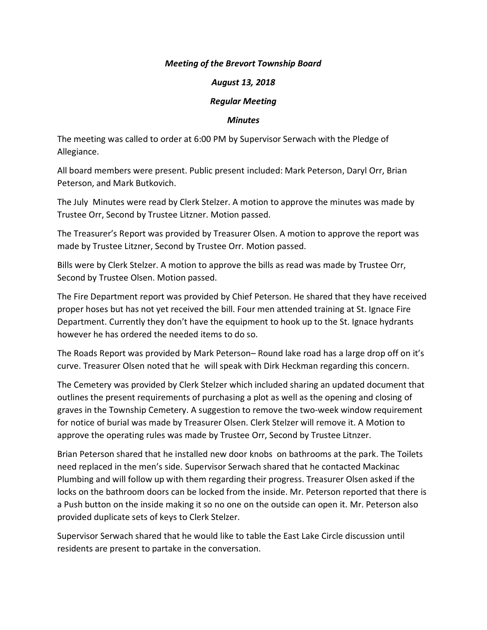## *Meeting of the Brevort Township Board*

## *August 13, 2018*

## *Regular Meeting*

## *Minutes*

The meeting was called to order at 6:00 PM by Supervisor Serwach with the Pledge of Allegiance.

All board members were present. Public present included: Mark Peterson, Daryl Orr, Brian Peterson, and Mark Butkovich.

The July Minutes were read by Clerk Stelzer. A motion to approve the minutes was made by Trustee Orr, Second by Trustee Litzner. Motion passed.

The Treasurer's Report was provided by Treasurer Olsen. A motion to approve the report was made by Trustee Litzner, Second by Trustee Orr. Motion passed.

Bills were by Clerk Stelzer. A motion to approve the bills as read was made by Trustee Orr, Second by Trustee Olsen. Motion passed.

The Fire Department report was provided by Chief Peterson. He shared that they have received proper hoses but has not yet received the bill. Four men attended training at St. Ignace Fire Department. Currently they don't have the equipment to hook up to the St. Ignace hydrants however he has ordered the needed items to do so.

The Roads Report was provided by Mark Peterson– Round lake road has a large drop off on it's curve. Treasurer Olsen noted that he will speak with Dirk Heckman regarding this concern.

The Cemetery was provided by Clerk Stelzer which included sharing an updated document that outlines the present requirements of purchasing a plot as well as the opening and closing of graves in the Township Cemetery. A suggestion to remove the two-week window requirement for notice of burial was made by Treasurer Olsen. Clerk Stelzer will remove it. A Motion to approve the operating rules was made by Trustee Orr, Second by Trustee Litnzer.

Brian Peterson shared that he installed new door knobs on bathrooms at the park. The Toilets need replaced in the men's side. Supervisor Serwach shared that he contacted Mackinac Plumbing and will follow up with them regarding their progress. Treasurer Olsen asked if the locks on the bathroom doors can be locked from the inside. Mr. Peterson reported that there is a Push button on the inside making it so no one on the outside can open it. Mr. Peterson also provided duplicate sets of keys to Clerk Stelzer.

Supervisor Serwach shared that he would like to table the East Lake Circle discussion until residents are present to partake in the conversation.